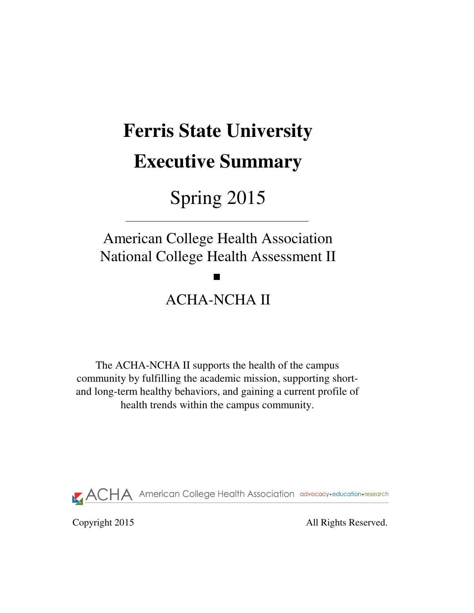# **Ferris State University Executive Summary**

# Spring 2015

American College Health Association National College Health Assessment II

# ACHA-NCHA II

The ACHA-NCHA II supports the health of the campus community by fulfilling the academic mission, supporting shortand long-term healthy behaviors, and gaining a current profile of health trends within the campus community.

**ACHA** American College Health Association advocacy·education·research

Copyright 2015 All Rights Reserved.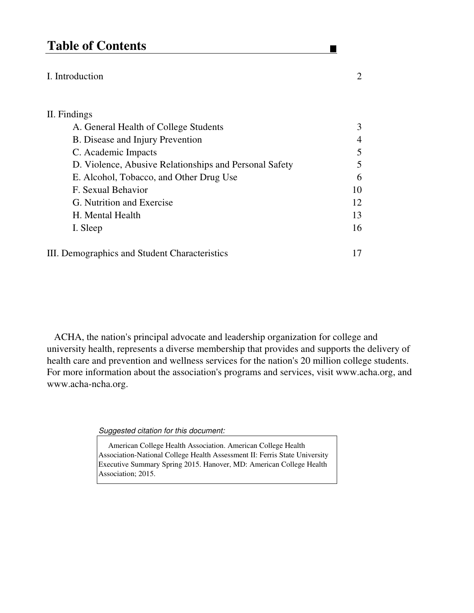## **Table of Contents**

#### I. Introduction 2

## II. Findings A. General Health of College Students 3 B. Disease and Injury Prevention 4 C. Academic Impacts 5 D. Violence, Abusive Relationships and Personal Safety 5 E. Alcohol, Tobacco, and Other Drug Use 6 F. Sexual Behavior 10 G. Nutrition and Exercise 12 H. Mental Health 13 I. Sleep 16 III. Demographics and Student Characteristics 17

 ACHA, the nation's principal advocate and leadership organization for college and university health, represents a diverse membership that provides and supports the delivery of health care and prevention and wellness services for the nation's 20 million college students. For more information about the association's programs and services, visit www.acha.org, and www.acha-ncha.org.

Suggested citation for this document:

 American College Health Association. American College Health Association-National College Health Assessment II: Ferris State University Executive Summary Spring 2015. Hanover, MD: American College Health Association; 2015.

 $\blacksquare$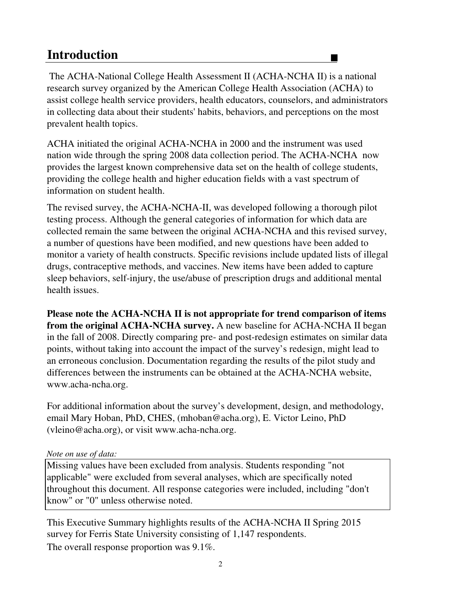## **Introduction**

 The ACHA-National College Health Assessment II (ACHA-NCHA II) is a national research survey organized by the American College Health Association (ACHA) to assist college health service providers, health educators, counselors, and administrators in collecting data about their students' habits, behaviors, and perceptions on the most prevalent health topics.

 $\blacksquare$ 

ACHA initiated the original ACHA-NCHA in 2000 and the instrument was used nation wide through the spring 2008 data collection period. The ACHA-NCHA now provides the largest known comprehensive data set on the health of college students, providing the college health and higher education fields with a vast spectrum of information on student health.

The revised survey, the ACHA-NCHA-II, was developed following a thorough pilot testing process. Although the general categories of information for which data are collected remain the same between the original ACHA-NCHA and this revised survey, a number of questions have been modified, and new questions have been added to monitor a variety of health constructs. Specific revisions include updated lists of illegal drugs, contraceptive methods, and vaccines. New items have been added to capture sleep behaviors, self-injury, the use/abuse of prescription drugs and additional mental health issues.

**Please note the ACHA-NCHA II is not appropriate for trend comparison of items from the original ACHA-NCHA survey.** A new baseline for ACHA-NCHA II began in the fall of 2008. Directly comparing pre- and post-redesign estimates on similar data points, without taking into account the impact of the survey's redesign, might lead to an erroneous conclusion. Documentation regarding the results of the pilot study and differences between the instruments can be obtained at the ACHA-NCHA website, www.acha-ncha.org.

For additional information about the survey's development, design, and methodology, email Mary Hoban, PhD, CHES, (mhoban@acha.org), E. Victor Leino, PhD (vleino@acha.org), or visit www.acha-ncha.org.

#### *Note on use of data:*

Missing values have been excluded from analysis. Students responding "not applicable" were excluded from several analyses, which are specifically noted throughout this document. All response categories were included, including "don't know" or "0" unless otherwise noted.

The overall response proportion was 9.1%. This Executive Summary highlights results of the ACHA-NCHA II Spring 2015 survey for Ferris State University consisting of 1,147 respondents.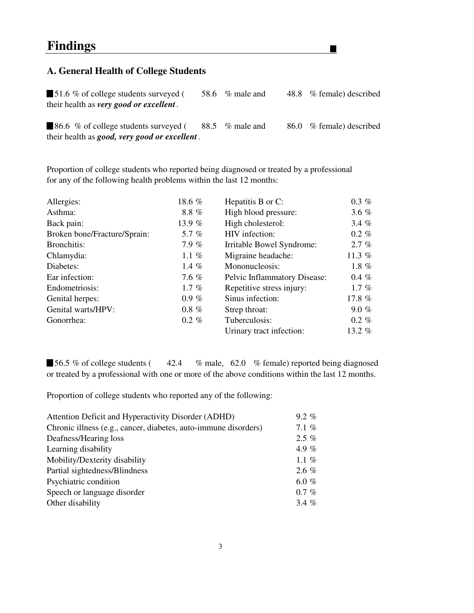#### **A. General Health of College Students**

■ 51.6 % of college students surveyed (58.6 % male and 48.8 % female) described their health as *very good or excellent .*

 $\blacksquare$ 

86.6 % of college students surveyed (88.5 % male and 86.0 % female) described their health as *good, very good or excellent .*

Proportion of college students who reported being diagnosed or treated by a professional for any of the following health problems within the last 12 months:

| Allergies:                   | 18.6 %   | Hepatitis B or C:            | $0.3 \%$ |
|------------------------------|----------|------------------------------|----------|
| Asthma:                      | 8.8%     | High blood pressure:         | 3.6 $%$  |
| Back pain:                   | 13.9 %   | High cholesterol:            | 3.4 $%$  |
| Broken bone/Fracture/Sprain: | 5.7 $%$  | HIV infection:               | $0.2 \%$ |
| Bronchitis:                  | 7.9%     | Irritable Bowel Syndrome:    | 2.7%     |
| Chlamydia:                   | 1.1 $%$  | Migraine headache:           | 11.3 %   |
| Diabetes:                    | 1.4 $%$  | Mononucleosis:               | 1.8 $%$  |
| Ear infection:               | 7.6 $%$  | Pelvic Inflammatory Disease: | $0.4 \%$ |
| Endometriosis:               | 1.7 $%$  | Repetitive stress injury:    | 1.7 $%$  |
| Genital herpes:              | $0.9 \%$ | Sinus infection:             | 17.8 $%$ |
| Genital warts/HPV:           | $0.8 \%$ | Strep throat:                | $9.0 \%$ |
| Gonorrhea:                   | $0.2 \%$ | Tuberculosis:                | $0.2 \%$ |
|                              |          | Urinary tract infection:     | 13.2 $%$ |

■ 56.5 % of college students (42.4 % male, 62.0 % female) reported being diagnosed or treated by a professional with one or more of the above conditions within the last 12 months.

Proportion of college students who reported any of the following:

| Attention Deficit and Hyperactivity Disorder (ADHD)             | $9.2\%$  |
|-----------------------------------------------------------------|----------|
| Chronic illness (e.g., cancer, diabetes, auto-immune disorders) | 7.1 $%$  |
| Deafness/Hearing loss                                           | $2.5\%$  |
| Learning disability                                             | 4.9 $%$  |
| Mobility/Dexterity disability                                   | 1.1 $%$  |
| Partial sightedness/Blindness                                   | $2.6\%$  |
| Psychiatric condition                                           | 6.0 %    |
| Speech or language disorder                                     | $0.7 \%$ |
| Other disability                                                | 3.4 $%$  |
|                                                                 |          |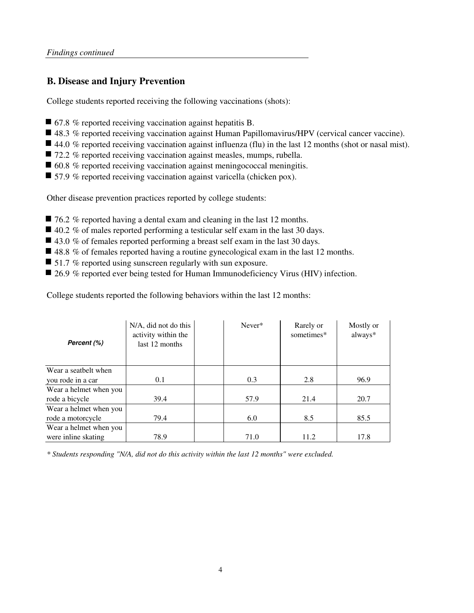### **B. Disease and Injury Prevention**

College students reported receiving the following vaccinations (shots):

- 67.8 % reported receiving vaccination against hepatitis B.
- 48.3 % reported receiving vaccination against Human Papillomavirus/HPV (cervical cancer vaccine).
- $\blacksquare$  44.0 % reported receiving vaccination against influenza (flu) in the last 12 months (shot or nasal mist).
- 72.2 % reported receiving vaccination against measles, mumps, rubella.
- 60.8 % reported receiving vaccination against meningococcal meningitis.
- 57.9 % reported receiving vaccination against varicella (chicken pox).

Other disease prevention practices reported by college students:

- 76.2 % reported having a dental exam and cleaning in the last 12 months.
- $\Box$  40.2 % of males reported performing a testicular self exam in the last 30 days.
- $\blacksquare$  43.0 % of females reported performing a breast self exam in the last 30 days.
- $\blacksquare$  48.8 % of females reported having a routine gynecological exam in the last 12 months.
- $\blacksquare$  51.7 % reported using sunscreen regularly with sun exposure.
- 26.9 % reported ever being tested for Human Immunodeficiency Virus (HIV) infection.

College students reported the following behaviors within the last 12 months:

| Percent (%)            | N/A, did not do this<br>activity within the<br>last 12 months | Never* | Rarely or<br>sometimes* | Mostly or<br>always* |
|------------------------|---------------------------------------------------------------|--------|-------------------------|----------------------|
| Wear a seatbelt when   |                                                               |        |                         |                      |
| you rode in a car      | 0.1                                                           | 0.3    | 2.8                     | 96.9                 |
| Wear a helmet when you |                                                               |        |                         |                      |
| rode a bicycle         | 39.4                                                          | 57.9   | 21.4                    | 20.7                 |
| Wear a helmet when you |                                                               |        |                         |                      |
| rode a motorcycle      | 79.4                                                          | 6.0    | 8.5                     | 85.5                 |
| Wear a helmet when you |                                                               |        |                         |                      |
| were inline skating    | 78.9                                                          | 71.0   | 11.2                    | 17.8                 |

*\* Students responding "N/A, did not do this activity within the last 12 months" were excluded.*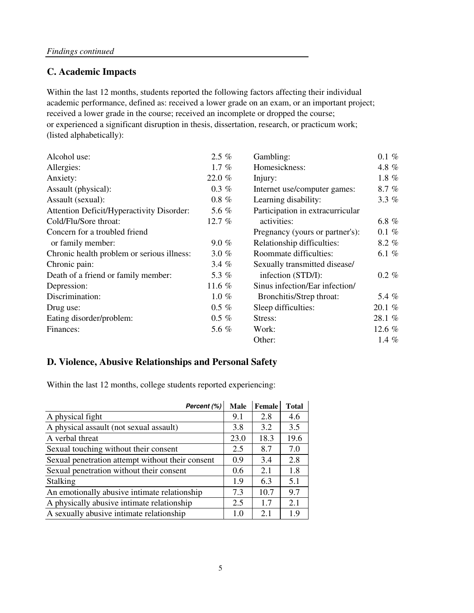### **C. Academic Impacts**

academic performance, defined as: received a lower grade on an exam, or an important project; received a lower grade in the course; received an incomplete or dropped the course; or experienced a significant disruption in thesis, dissertation, research, or practicum work; (listed alphabetically): Within the last 12 months, students reported the following factors affecting their individual

| Alcohol use:                               | $2.5\%$  | Gambling:<br>$0.1 \%$            |          |
|--------------------------------------------|----------|----------------------------------|----------|
| Allergies:                                 | $1.7 \%$ | Homesickness:                    | 4.8 %    |
| Anxiety:                                   | 22.0 %   | Injury:                          | 1.8 $%$  |
| Assault (physical):                        | $0.3 \%$ | Internet use/computer games:     | $8.7 \%$ |
| Assault (sexual):                          | $0.8 \%$ | Learning disability:             | 3.3 $%$  |
| Attention Deficit/Hyperactivity Disorder:  | 5.6 %    | Participation in extracurricular |          |
| Cold/Flu/Sore throat:                      | 12.7%    | activities:                      | 6.8 $%$  |
| Concern for a troubled friend              |          | Pregnancy (yours or partner's):  | $0.1 \%$ |
| or family member:                          | $9.0 \%$ | Relationship difficulties:       | $8.2\%$  |
| Chronic health problem or serious illness: | 3.0 $%$  | Roommate difficulties:           | 6.1 $%$  |
| Chronic pain:                              | 3.4 $%$  | Sexually transmitted disease/    |          |
| Death of a friend or family member:        | 5.3 %    | infection (STD/I):               | $0.2 \%$ |
| Depression:                                | 11.6 $%$ | Sinus infection/Ear infection/   |          |
| Discrimination:                            | $1.0 \%$ | Bronchitis/Strep throat:         | 5.4 %    |
| Drug use:                                  | $0.5 \%$ | Sleep difficulties:              | 20.1%    |
| Eating disorder/problem:                   | $0.5 \%$ | Stress:                          | 28.1 %   |
| Finances:                                  | 5.6 %    | Work:                            | 12.6 $%$ |
|                                            |          | Other:                           | 1.4 $%$  |

#### **D. Violence, Abusive Relationships and Personal Safety**

Within the last 12 months, college students reported experiencing:

| Percent (%)                                      | <b>Male</b>   | Female | <b>Total</b> |
|--------------------------------------------------|---------------|--------|--------------|
| A physical fight                                 | 9.1           | 2.8    | 4.6          |
| A physical assault (not sexual assault)          | 3.8           | 3.2    | 3.5          |
| A verbal threat                                  | 23.0          | 18.3   | 19.6         |
| Sexual touching without their consent            | 2.5           | 8.7    | 7.0          |
| Sexual penetration attempt without their consent | 0.9           | 3.4    | 2.8          |
| Sexual penetration without their consent         | $0.6^{\circ}$ | 2.1    | 1.8          |
| <b>Stalking</b>                                  | 1.9           | 6.3    | 5.1          |
| An emotionally abusive intimate relationship     | 7.3           | 10.7   | 9.7          |
| A physically abusive intimate relationship       | 2.5           | 1.7    | 2.1          |
| A sexually abusive intimate relationship         | 1.0           | 2.1    | 1.9          |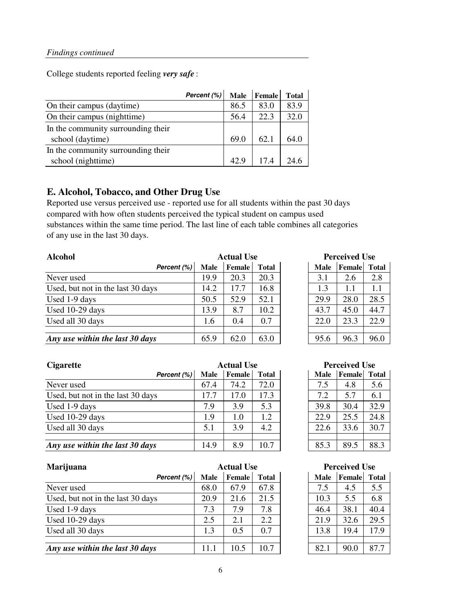College students reported feeling *very safe* :

|                                    | Percent (%) | <b>Male</b> | Female | <b>Total</b> |
|------------------------------------|-------------|-------------|--------|--------------|
| On their campus (daytime)          |             | 86.5        | 83.0   | 83.9         |
| On their campus (nighttime)        |             | 56.4        | 22.3   | 32.0         |
| In the community surrounding their |             |             |        |              |
| school (daytime)                   |             | 69.0        | 62.1   | 64.0         |
| In the community surrounding their |             |             |        |              |
| school (nighttime)                 |             | 42.9        | 174    | 24.6         |

#### **E. Alcohol, Tobacco, and Other Drug Use**

Reported use versus perceived use - reported use for all students within the past 30 days compared with how often students perceived the typical student on campus used substances within the same time period. The last line of each table combines all categories of any use in the last 30 days.

| <b>Alcohol</b>                    | <b>Actual Use</b> |               |              | <b>Perceived Use</b> |             |        |              |
|-----------------------------------|-------------------|---------------|--------------|----------------------|-------------|--------|--------------|
| Percent (%)                       | Male              | <b>Female</b> | <b>Total</b> |                      | <b>Male</b> | Female | <b>Total</b> |
| Never used                        | 19.9              | 20.3          | 20.3         |                      | 3.1         | 2.6    | 2.8          |
| Used, but not in the last 30 days | 14.2              | 17.7          | 16.8         |                      | 1.3         | 1.1    |              |
| Used 1-9 days                     | 50.5              | 52.9          | 52.1         |                      | 29.9        | 28.0   | 28.5         |
| Used 10-29 days                   | 13.9              | 8.7           | 10.2         |                      | 43.7        | 45.0   | 44.7         |
| Used all 30 days                  | 1.6               | 0.4           | 0.7          |                      | 22.0        | 23.3   | 22.9         |
| Any use within the last 30 days   | 65.9              | 62.0          | 63.0         |                      | 95.6        | 96.3   | 96.0         |

| <b>Actual Use</b> |              | <b>Perceived Use</b> |             |        |              |
|-------------------|--------------|----------------------|-------------|--------|--------------|
| <b>Female</b>     | <b>Total</b> |                      | <b>Male</b> | Female | <b>Total</b> |
| 20.3              | 20.3         |                      | 3.1         | 2.6    | 2.8          |
| 17.7              | 16.8         |                      | 1.3         | 1.1    | 1.1          |
| 52.9              | 52.1         |                      | 29.9        | 28.0   | 28.5         |
| 8.7               | 10.2         |                      | 43.7        | 45.0   | 44.7         |
| 0.4               | 0.7          |                      | 22.0        | 23.3   | 22.9         |
|                   |              |                      |             |        |              |
| 62.0              | 63.0         |                      | 95.6        | 96.3   | 96.0         |

| <b>Cigarette</b><br><b>Actual Use</b> |             |        | <b>Perceived Use</b> |  |             |        |              |
|---------------------------------------|-------------|--------|----------------------|--|-------------|--------|--------------|
| Percent (%)                           | <b>Male</b> | Female | <b>Total</b>         |  | <b>Male</b> | Female | <b>Total</b> |
| Never used                            | 67.4        | 74.2   | 72.0                 |  | 7.5         | 4.8    | 5.6          |
| Used, but not in the last 30 days     | 17.7        | 17.0   | 17.3                 |  | 7.2         | 5.7    | 6.1          |
| Used 1-9 days                         | 7.9         | 3.9    | 5.3                  |  | 39.8        | 30.4   | 32.9         |
| Used 10-29 days                       | 1.9         | 1.0    | 1.2                  |  | 22.9        | 25.5   | 24.8         |
| Used all 30 days                      | 5.1         | 3.9    | 4.2                  |  | 22.6        | 33.6   | 30.7         |
|                                       |             |        |                      |  |             |        |              |
| Any use within the last 30 days       | 14.9        | 8.9    | 10.7                 |  | 85.3        | 89.5   | 88.3         |

| Marijuana                         | <b>Actual Use</b> |               |              | <b>Perceived Use</b> |             |        |              |
|-----------------------------------|-------------------|---------------|--------------|----------------------|-------------|--------|--------------|
| Percent (%)                       | Male              | <b>Female</b> | <b>Total</b> |                      | <b>Male</b> | Female | <b>Total</b> |
| Never used                        | 68.0              | 67.9          | 67.8         |                      | 7.5         | 4.5    | 5.5          |
| Used, but not in the last 30 days | 20.9              | 21.6          | 21.5         |                      | 10.3        | 5.5    | 6.8          |
| Used 1-9 days                     | 7.3               | 7.9           | 7.8          |                      | 46.4        | 38.1   | 40.4         |
| Used 10-29 days                   | 2.5               | 2.1           | 2.2          |                      | 21.9        | 32.6   | 29.5         |
| Used all 30 days                  | 1.3               | 0.5           | 0.7          |                      | 13.8        | 19.4   | 17.9         |
|                                   |                   |               |              |                      |             |        |              |
| Any use within the last 30 days   | 11.1              | 10.5          | 10.7         |                      | 82.1        | 90.0   | 87.7         |

| <b>Perceived Use</b> |                     |      |  |  |  |  |  |
|----------------------|---------------------|------|--|--|--|--|--|
| <b>Male</b>          | <b>Female</b> Total |      |  |  |  |  |  |
| 7.5                  | 4.8                 | 5.6  |  |  |  |  |  |
| 7.2                  | 5.7                 | 6.1  |  |  |  |  |  |
| 39.8                 | 30.4                | 32.9 |  |  |  |  |  |
| 22.9                 | 25.5                | 24.8 |  |  |  |  |  |
| 22.6                 | 33.6                | 30.7 |  |  |  |  |  |
|                      |                     |      |  |  |  |  |  |
| 85.3                 | 89.5                | 88.3 |  |  |  |  |  |

#### **Perceived Use**

| <b>Male</b> | Female | <b>Total</b> |
|-------------|--------|--------------|
| 7.5         | 4.5    | 5.5          |
| 10.3        | 5.5    | 6.8          |
| 46.4        | 38.1   | 40.4         |
| 21.9        | 32.6   | 29.5         |
| 13.8        | 19.4   | 17.9         |
|             |        |              |
| 82.1        | 90.0   | 87.7         |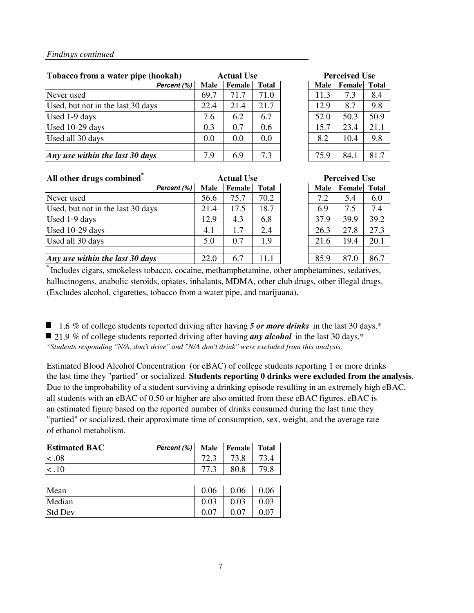| Tobacco from a water pipe (hookah) |             | <b>Actual Use</b> |              |  | <b>Perceived Use</b> |        |              |  |
|------------------------------------|-------------|-------------------|--------------|--|----------------------|--------|--------------|--|
| Percent (%)                        | <b>Male</b> | <b>Female</b>     | <b>Total</b> |  | <b>Male</b>          | Female | <b>Total</b> |  |
| Never used                         | 69.7        | 71.7              | 71.0         |  | 11.3                 | 7.3    | 8.4          |  |
| Used, but not in the last 30 days  | 22.4        | 21.4              | 21.7         |  | 12.9                 | 8.7    | 9.8          |  |
| Used 1-9 days                      | 7.6         | 6.2               | 6.7          |  | 52.0                 | 50.3   | 50.9         |  |
| Used 10-29 days                    | 0.3         | 0.7               | 0.6          |  | 15.7                 | 23.4   | 21.1         |  |
| Used all 30 days                   | 0.0         | 0.0               | 0.0          |  | 8.2                  | 10.4   | 9.8          |  |
|                                    |             |                   |              |  |                      |        |              |  |
| Any use within the last 30 days    | 7.9         | 6.9               | 7.3          |  | 75.9                 | 84.1   | 81.7         |  |

| Perceived Use |                     |      |  |  |  |
|---------------|---------------------|------|--|--|--|
| Male          | <b>Female</b> Total |      |  |  |  |
| 11.3          | 7.3                 | 8.4  |  |  |  |
| 12.9          | 8.7                 | 9.8  |  |  |  |
| 52.0          | 50.3                | 50.9 |  |  |  |
| 15.7          | 23.4                | 21.1 |  |  |  |
| 8.2           | 10.4                | 9.8  |  |  |  |
|               |                     |      |  |  |  |
| 75.9          | 84.1                | 81.7 |  |  |  |

| All other drugs combined <sup>®</sup> |             | <b>Actual Use</b> |              |  | <b>Perceived Use</b> |        |              |
|---------------------------------------|-------------|-------------------|--------------|--|----------------------|--------|--------------|
| Percent (%)                           | <b>Male</b> | <b>Female</b>     | <b>Total</b> |  | <b>Male</b>          | Female | <b>Total</b> |
| Never used                            | 56.6        | 75.7              | 70.2         |  | 7.2                  | 5.4    | 6.0          |
| Used, but not in the last 30 days     | 21.4        | 17.5              | 18.7         |  | 6.9                  | 7.5    | 7.4          |
| Used 1-9 days                         | 12.9        | 4.3               | 6.8          |  | 37.9                 | 39.9   | 39.2         |
| Used 10-29 days                       | 4.1         | 1.7               | 2.4          |  | 26.3                 | 27.8   | 27.3         |
| Used all 30 days                      | 5.0         | 0.7               | 1.9          |  | 21.6                 | 19.4   | 20.1         |
|                                       |             |                   |              |  |                      |        |              |
| Any use within the last 30 days       | 22.0        | 6.7               | 11.1         |  | 85.9                 | 87.0   | 86.7         |

| <b>Actual Use</b> |               |              | <b>Perceived Use</b> |        |              |  |  |
|-------------------|---------------|--------------|----------------------|--------|--------------|--|--|
|                   | <b>Female</b> | <b>Total</b> | <b>Male</b>          | Female | <b>Total</b> |  |  |
|                   | 75.7          | 70.2         | 7.2                  | 5.4    | 6.0          |  |  |
|                   | 17.5          | 18.7         | 6.9                  | 7.5    | 7.4          |  |  |
|                   | 4.3           | 6.8          | 37.9                 | 39.9   | 39.2         |  |  |
|                   | 1.7           | 2.4          | 26.3                 | 27.8   | 27.3         |  |  |
|                   | 0.7           | 1.9          | 21.6                 | 19.4   | 20.1         |  |  |
|                   |               |              |                      |        |              |  |  |
|                   | 67            | 11.1         | 85.9                 | 87.0   | 86.7         |  |  |

\* Includes cigars, smokeless tobacco, cocaine, methamphetamine, other amphetamines, sedatives, hallucinogens, anabolic steroids, opiates, inhalants, MDMA, other club drugs, other illegal drugs. (Excludes alcohol, cigarettes, tobacco from a water pipe, and marijuana).

■ 1.6 % of college students reported driving after having 5 or more drinks in the last 30 days.<sup>\*</sup> 21.9 % of college students reported driving after having *any alcohol* in the last 30 days.<sup>\*</sup> *\*Students responding "N/A, don't drive" and "N/A don't drink" were excluded from this analysis.*

Estimated Blood Alcohol Concentration (or eBAC) of college students reporting 1 or more drinks the last time they "partied" or socialized. **Students reporting 0 drinks were excluded from the analysis**. Due to the improbability of a student surviving a drinking episode resulting in an extremely high eBAC, all students with an eBAC of 0.50 or higher are also omitted from these eBAC figures. eBAC is an estimated figure based on the reported number of drinks consumed during the last time they "partied" or socialized, their approximate time of consumption, sex, weight, and the average rate of ethanol metabolism.

| <b>Estimated BAC</b> | Percent (%) | <b>Male</b> | Female | <b>Total</b> |
|----------------------|-------------|-------------|--------|--------------|
| 0.08                 |             | 72.3        | 73.8   | 73.4         |
| $\overline{$ < .10   |             | 77.3        | 80.8   | 79.8         |
|                      |             |             |        |              |
| Mean                 |             | 0.06        | 0.06   | 0.06         |
| Median               |             | 0.03        | 0.03   | 0.03         |
| <b>Std Dev</b>       |             | 0.07        | 0.07   | 0.07         |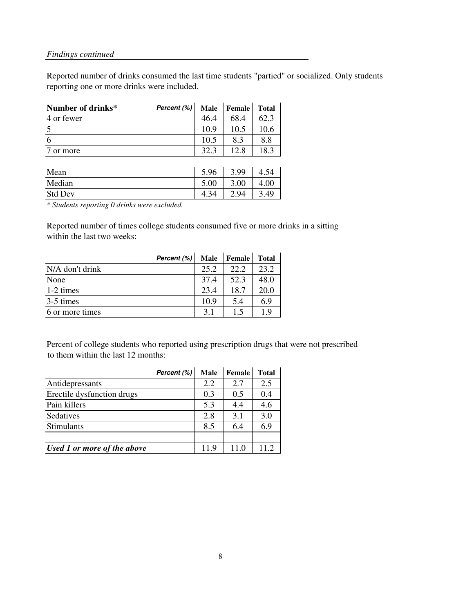Reported number of drinks consumed the last time students "partied" or socialized. Only students reporting one or more drinks were included.

| Number of drinks* | Percent (%) | <b>Male</b> | <b>Female</b> | <b>Total</b> |
|-------------------|-------------|-------------|---------------|--------------|
| 4 or fewer        |             | 46.4        | 68.4          | 62.3         |
| $\overline{5}$    |             | 10.9        | 10.5          | 10.6         |
| 6                 |             | 10.5        | 8.3           | 8.8          |
| or more           |             | 32.3        | 12.8          | 18.3         |
|                   |             |             |               |              |
| Mean              |             | 5.96        | 3.99          | 4.54         |
| Median            |             | 5.00        | 3.00          | 4.00         |
| <b>Std Dev</b>    |             | 4.34        | 2.94          | 3.49         |

*\* Students reporting 0 drinks were excluded.*

Reported number of times college students consumed five or more drinks in a sitting within the last two weeks:

|                     | Percent (%) | <b>Male</b> | Female | <b>Total</b> |
|---------------------|-------------|-------------|--------|--------------|
| N/A don't drink     |             | 25.2        | 22.2   | 23.2         |
| None                |             | 37.4        | 52.3   | 48.0         |
| $1-2 \text{ times}$ |             | 23.4        | 18.7   | 20.0         |
| 3-5 times           |             | 10.9        | 5.4    | 6.9          |
| 6 or more times     |             | 3.1         | 1.5    | 1.9          |

Percent of college students who reported using prescription drugs that were not prescribed to them within the last 12 months:

|                             | Percent (%) | <b>Male</b> | Female | <b>Total</b> |
|-----------------------------|-------------|-------------|--------|--------------|
| Antidepressants             |             | 2.2         | 2.7    | 2.5          |
| Erectile dysfunction drugs  |             | 0.3         | 0.5    | 0.4          |
| Pain killers                |             | 5.3         | 4.4    | 4.6          |
| Sedatives                   |             | 2.8         | 3.1    | 3.0          |
| Stimulants                  |             | 8.5         | 6.4    | 6.9          |
|                             |             |             |        |              |
| Used 1 or more of the above |             | 11.9        | 11.0   | 11.2         |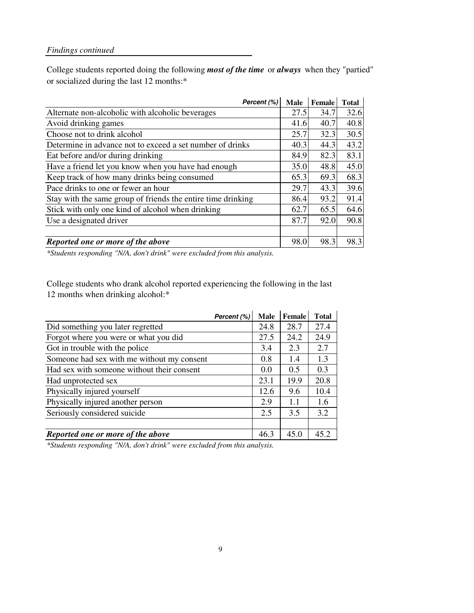College students reported doing the following *most of the time* or *always* when they "partied" or socialized during the last 12 months:\*

| Percent (%)                                                  | <b>Male</b> | Female | <b>Total</b> |
|--------------------------------------------------------------|-------------|--------|--------------|
| Alternate non-alcoholic with alcoholic beverages             | 27.5        | 34.7   | 32.6         |
| Avoid drinking games                                         | 41.6        | 40.7   | 40.8         |
| Choose not to drink alcohol                                  | 25.7        | 32.3   | 30.5         |
| Determine in advance not to exceed a set number of drinks    | 40.3        | 44.3   | 43.2         |
| Eat before and/or during drinking                            | 84.9        | 82.3   | 83.1         |
| Have a friend let you know when you have had enough          | 35.0        | 48.8   | 45.0         |
| Keep track of how many drinks being consumed                 | 65.3        | 69.3   | 68.3         |
| Pace drinks to one or fewer an hour                          | 29.7        | 43.3   | 39.6         |
| Stay with the same group of friends the entire time drinking | 86.4        | 93.2   | 91.4         |
| Stick with only one kind of alcohol when drinking            | 62.7        | 65.5   | 64.6         |
| Use a designated driver                                      | 87.7        | 92.0   | 90.8         |
|                                                              |             |        |              |
| Reported one or more of the above                            | 98.0        | 98.3   | 98.3         |

*\*Students responding "N/A, don't drink" were excluded from this analysis.*

College students who drank alcohol reported experiencing the following in the last 12 months when drinking alcohol:\*

|                                            | Percent (%) | <b>Male</b> | Female | <b>Total</b> |
|--------------------------------------------|-------------|-------------|--------|--------------|
| Did something you later regretted          |             | 24.8        | 28.7   | 27.4         |
| Forgot where you were or what you did      |             | 27.5        | 24.2   | 24.9         |
| Got in trouble with the police             |             | 3.4         | 2.3    | 2.7          |
| Someone had sex with me without my consent |             | 0.8         | 1.4    | 1.3          |
| Had sex with someone without their consent |             | 0.0         | 0.5    | 0.3          |
| Had unprotected sex                        |             | 23.1        | 19.9   | 20.8         |
| Physically injured yourself                |             | 12.6        | 9.6    | 10.4         |
| Physically injured another person          |             | 2.9         | 1.1    | 1.6          |
| Seriously considered suicide               |             | 2.5         | 3.5    | 3.2          |
|                                            |             |             |        |              |
| Reported one or more of the above          |             | 46.3        | 45.0   | 45.2         |

*\*Students responding "N/A, don't drink" were excluded from this analysis.*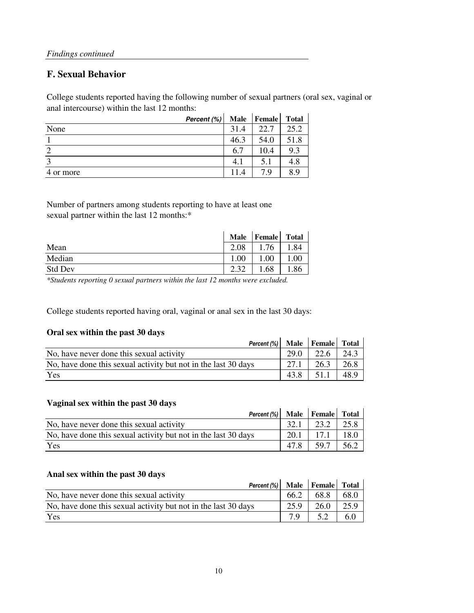### **F. Sexual Behavior**

College students reported having the following number of sexual partners (oral sex, vaginal or anal intercourse) within the last 12 months:

|                   | Percent (%) | <b>Male</b> | <b>Female</b> | <b>Total</b> |
|-------------------|-------------|-------------|---------------|--------------|
| None              |             | 31.4        | 22.7          | 25.2         |
|                   |             | 46.3        | 54.0          | 51.8         |
| ာ                 |             | 6.7         | 10.4          | 9.3          |
| $\mathbf{\Omega}$ |             | 4.1         | 5.1           | 4.8          |
| 4 or more         |             | 11.4        | 7.9           | 8.9          |

Number of partners among students reporting to have at least one sexual partner within the last 12 months:\*

|                | <b>Male</b> | Female | Total |
|----------------|-------------|--------|-------|
| Mean           | 2.08        | .76    | .84   |
| Median         | $1.00\,$    | .00    | .00   |
| <b>Std Dev</b> | 2.32        | .68    | 1.86  |

*\*Students reporting 0 sexual partners within the last 12 months were excluded.*

College students reported having oral, vaginal or anal sex in the last 30 days:

#### **Oral sex within the past 30 days**

| Oral sex within the past 50 days                               |      |      |              |
|----------------------------------------------------------------|------|------|--------------|
| Percent $(\%)$ Male Female Total                               |      |      |              |
| No, have never done this sexual activity                       | 29.0 | 22.6 | $\perp$ 24.3 |
| No, have done this sexual activity but not in the last 30 days | 27.1 | 26.3 | 26.8         |
| Yes                                                            | 43.8 | 51.1 | 48.9         |

#### **Vaginal sex within the past 30 days**

| Vaginal Sex Within the past 50 days                            |      |      |      |
|----------------------------------------------------------------|------|------|------|
| Percent (%) Male Female Total                                  |      |      |      |
| No, have never done this sexual activity                       | 32.1 | 23.2 | 25.8 |
| No, have done this sexual activity but not in the last 30 days | 20.1 | 17.1 | 18.0 |
| Yes                                                            | 47.8 | 59.7 | 56.2 |

#### **Anal sex within the past 30 days**

| Percent (%) Male Female Total                                  |      |             |      |
|----------------------------------------------------------------|------|-------------|------|
| No, have never done this sexual activity                       | 66.2 | $68.8$ 68.0 |      |
| No, have done this sexual activity but not in the last 30 days | 25.9 | $26.0$ 1    | 25.9 |
| Yes                                                            |      | 5.2         | 6.0  |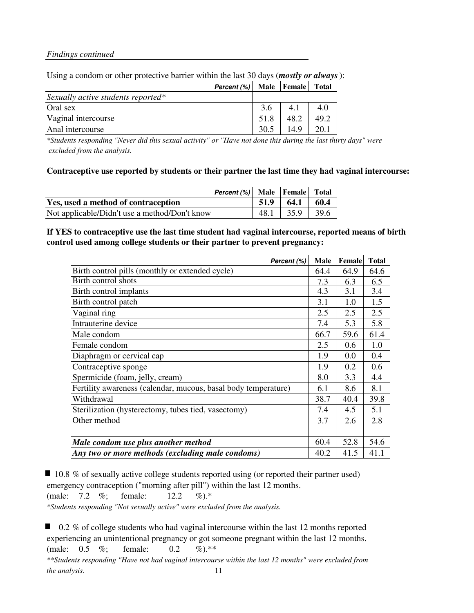|                                    | <b>Percent</b> $(\%)$ Male Female Total |      |      |      |
|------------------------------------|-----------------------------------------|------|------|------|
| Sexually active students reported* |                                         |      |      |      |
| Oral sex                           |                                         | 3.6  | 4.1  | 4.0  |
| Vaginal intercourse                |                                         | 51.8 | 48.2 | 49.2 |
| Anal intercourse                   |                                         | 30.5 | 14.9 | 20.1 |
|                                    |                                         |      |      |      |

#### Using a condom or other protective barrier within the last 30 days (*mostly or always*):

*\*Students responding "Never did this sexual activity" or "Have not done this during the last thirty days" were excluded from the analysis.*

#### **Contraceptive use reported by students or their partner the last time they had vaginal intercourse:**

| <b>Percent</b> $(\%)$ Male Female Total       |      |                      |      |
|-----------------------------------------------|------|----------------------|------|
| Yes, used a method of contraception           | 51.9 | 64.1                 | 60.4 |
| Not applicable/Didn't use a method/Don't know |      | $48.1$   35.9   39.6 |      |

#### **If YES to contraceptive use the last time student had vaginal intercourse, reported means of birth control used among college students or their partner to prevent pregnancy:**

| Percent (%)                                                    | <b>Male</b> | Female | <b>Total</b> |
|----------------------------------------------------------------|-------------|--------|--------------|
| Birth control pills (monthly or extended cycle)                | 64.4        | 64.9   | 64.6         |
| Birth control shots                                            | 7.3         | 6.3    | 6.5          |
| Birth control implants                                         | 4.3         | 3.1    | 3.4          |
| Birth control patch                                            | 3.1         | 1.0    | 1.5          |
| Vaginal ring                                                   | 2.5         | 2.5    | 2.5          |
| Intrauterine device                                            | 7.4         | 5.3    | 5.8          |
| Male condom                                                    | 66.7        | 59.6   | 61.4         |
| Female condom                                                  | 2.5         | 0.6    | 1.0          |
| Diaphragm or cervical cap                                      | 1.9         | 0.0    | 0.4          |
| Contraceptive sponge                                           | 1.9         | 0.2    | 0.6          |
| Spermicide (foam, jelly, cream)                                | 8.0         | 3.3    | 4.4          |
| Fertility awareness (calendar, mucous, basal body temperature) | 6.1         | 8.6    | 8.1          |
| Withdrawal                                                     | 38.7        | 40.4   | 39.8         |
| Sterilization (hysterectomy, tubes tied, vasectomy)            | 7.4         | 4.5    | 5.1          |
| Other method                                                   | 3.7         | 2.6    | 2.8          |
|                                                                |             |        |              |
| Male condom use plus another method                            | 60.4        | 52.8   | 54.6         |
| Any two or more methods (excluding male condoms)               | 40.2        | 41.5   | 41.1         |

■ 10.8 % of sexually active college students reported using (or reported their partner used) emergency contraception ("morning after pill") within the last 12 months.

(male: 7.2 %; female: 12.2 %).\*

*\*Students responding "Not sexually active" were excluded from the analysis.*

■ 0.2 % of college students who had vaginal intercourse within the last 12 months reported experiencing an unintentional pregnancy or got someone pregnant within the last 12 months. (male: 0.5 %; female: 0.2 %).\*\* *\*\*Students responding "Have not had vaginal intercourse within the last 12 months" were excluded from the analysis.* 11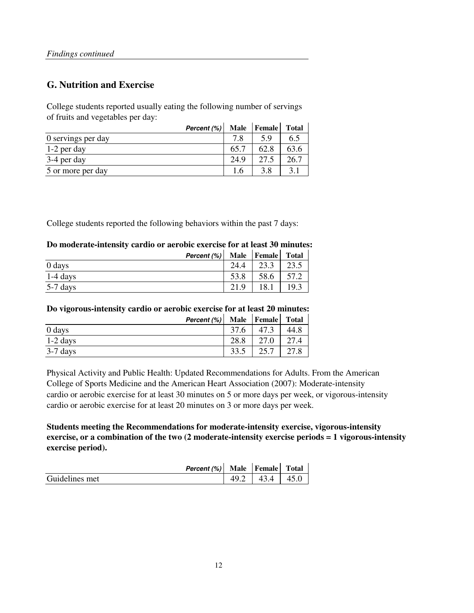### **G. Nutrition and Exercise**

College students reported usually eating the following number of servings of fruits and vegetables per day:

| Percent (%)        |      | Male Female | <b>Total</b> |
|--------------------|------|-------------|--------------|
| 0 servings per day | 7.8  | 5.9         | 6.5          |
| $1-2$ per day      | 65.7 | 62.8        | 63.6         |
| 3-4 per day        | 24.9 | 27.5        | 26.7         |
| 5 or more per day  |      | 3.8         | 3.1          |

College students reported the following behaviors within the past 7 days:

#### **Do moderate-intensity cardio or aerobic exercise for at least 30 minutes:**

|            | Percent (%) |      | Male   Female | <b>Total</b> |
|------------|-------------|------|---------------|--------------|
| 0 days     |             | 24.4 | 222           | 23.5         |
| $1-4$ days |             | 53.8 | 58.6          | 57.2         |
| 5-7 days   |             | 21.9 | 18.1          | 19.3         |

#### **Do vigorous-intensity cardio or aerobic exercise for at least 20 minutes:**

|            | Percent (%) |      | Male Female Total |      |
|------------|-------------|------|-------------------|------|
| 0 days     |             | 37.6 |                   | 44.8 |
| $1-2$ days |             | 28.8 | 27.0              | 27.4 |
| $3-7$ days |             | 33.5 | 25.7              | 27.8 |

Physical Activity and Public Health: Updated Recommendations for Adults. From the American College of Sports Medicine and the American Heart Association (2007): Moderate-intensity cardio or aerobic exercise for at least 30 minutes on 5 or more days per week, or vigorous-intensity cardio or aerobic exercise for at least 20 minutes on 3 or more days per week.

**Students meeting the Recommendations for moderate-intensity exercise, vigorous-intensity exercise, or a combination of the two (2 moderate-intensity exercise periods = 1 vigorous-intensity exercise period).**

|                | Percent (%) | Male Female         | <b>Total</b> |
|----------------|-------------|---------------------|--------------|
| Guidelines met |             | $\Delta$ 3 $\Delta$ | 45.0         |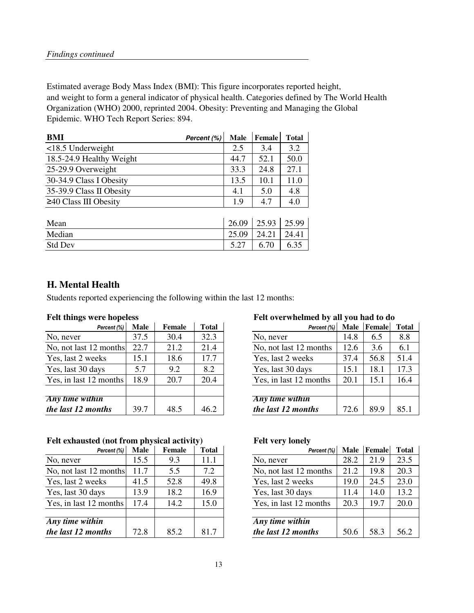Estimated average Body Mass Index (BMI): This figure incorporates reported height, and weight to form a general indicator of physical health. Categories defined by The World Health Organization (WHO) 2000, reprinted 2004. Obesity: Preventing and Managing the Global Epidemic. WHO Tech Report Series: 894.

| <b>BMI</b><br>Percent (%)   | <b>Male</b> | <b>Female</b> | <b>Total</b> |
|-----------------------------|-------------|---------------|--------------|
| $<$ 18.5 Underweight        | 2.5         | 3.4           | 3.2          |
| 18.5-24.9 Healthy Weight    | 44.7        | 52.1          | 50.0         |
| 25-29.9 Overweight          | 33.3        | 24.8          | 27.1         |
| 30-34.9 Class I Obesity     | 13.5        | 10.1          | 11.0         |
| 35-39.9 Class II Obesity    | 4.1         | 5.0           | 4.8          |
| $\geq$ 40 Class III Obesity | 1.9         | 4.7           | 4.0          |
|                             |             |               |              |
| Mean                        | 26.09       | 25.93         | 25.99        |
| Median                      | 25.09       | 24.21         | 24.41        |
| <b>Std Dev</b>              | 5.27        | 6.70          | 6.35         |

### **H. Mental Health**

Students reported experiencing the following within the last 12 months:

| Percent (%)            | <b>Male</b> | Female | <b>Total</b> | Percent (%)            | <b>Male</b> | Female | Total |
|------------------------|-------------|--------|--------------|------------------------|-------------|--------|-------|
| No, never              | 37.5        | 30.4   | 32.3         | No, never              | 14.8        | 6.5    | 8.8   |
| No, not last 12 months | 22.7        | 21.2   | 21.4         | No, not last 12 months | 12.6        | 3.6    | 6.1   |
| Yes, last 2 weeks      | 15.1        | 18.6   | 17.7         | Yes, last 2 weeks      | 37.4        | 56.8   | 51.4  |
| Yes, last 30 days      | 5.7         | 9.2    | 8.2          | Yes, last 30 days      | 15.1        | 18.1   | 17.3  |
| Yes, in last 12 months | 18.9        | 20.7   | 20.4         | Yes, in last 12 months | 20.1        | 15.1   | 16.4  |
|                        |             |        |              |                        |             |        |       |
| Any time within        |             |        |              | Any time within        |             |        |       |
| the last 12 months     | 39.7        | 48.5   | 46.2         | the last 12 months     | 72.6        | 89.9   | 85.1  |

#### Felt exhausted (not from physical activity) Felt very lonely

| Percent (%)                  | <b>Male</b> | Female | <b>Total</b> | Percent (%)            | Male | Female | Total |
|------------------------------|-------------|--------|--------------|------------------------|------|--------|-------|
| No, never                    | 15.5        | 9.3    | 11.1         | No, never              | 28.2 | 21.9   | 23.5  |
| No, not last 12 months       | 11.7        | 5.5    | 7.2          | No, not last 12 months | 21.2 | 19.8   | 20.3  |
| Yes, last 2 weeks            | 41.5        | 52.8   | 49.8         | Yes, last 2 weeks      | 19.0 | 24.5   | 23.0  |
| Yes, last 30 days            | 13.9        | 18.2   | 16.9         | Yes, last 30 days      | 11.4 | 14.0   | 13.2  |
| Yes, in last 12 months       | 17.4        | 14.2   | 15.0         | Yes, in last 12 months | 20.3 | 19.7   | 20.0  |
|                              |             |        |              |                        |      |        |       |
| $\overline{Any}$ time within |             |        |              | Any time within        |      |        |       |
| the last 12 months           | 72.8        | 85.2   | 81.7         | the last 12 months     | 50.6 | 58.3   | 56.2  |

#### **Felt things were hopeless Felt overwhelmed by all you had to do**

| <b>Male</b> | <b>Female</b> | <b>Total</b> |                        | Male            |             | <b>Total</b> |
|-------------|---------------|--------------|------------------------|-----------------|-------------|--------------|
| 37.5        | 30.4          | 32.3         | No, never              | 14.8            | 6.5         | 8.8          |
| 22.7        | 21.2          | 21.4         | No, not last 12 months | 12.6            | 3.6         | 6.1          |
| 15.1        | 18.6          | 17.7         | Yes, last 2 weeks      | 37.4            | 56.8        | 51.4         |
| 5.7         | 9.2           | 8.2          | Yes, last 30 days      | 15.1            | 18.1        | 17.3         |
| 18.9        | 20.7          | 20.4         | Yes, in last 12 months | 20.1            | 15.1        | 16.4         |
|             |               |              |                        |                 |             |              |
|             |               |              |                        |                 |             |              |
| 39.7        | 48.5          | 46.2         | the last 12 months     | 72.6            | 89.9        | 85.1         |
| months      |               |              |                        | Any time within | Percent (%) | Female       |

| Percent (%)               | <b>Male</b> | <b>Female</b> | <b>Total</b> | Percent (%)            | <b>Male</b> | Female | <b>Total</b> |
|---------------------------|-------------|---------------|--------------|------------------------|-------------|--------|--------------|
|                           | 15.5        | 9.3           | 11.1         | No, never              | 28.2        | 21.9   | 23.5         |
| months                    | 11.7        | 5.5           | 7.2          | No, not last 12 months | 21.2        | 19.8   | 20.3         |
| eks                       | 41.5        | 52.8          | 49.8         | Yes, last 2 weeks      | 19.0        | 24.5   | 23.0         |
| ys                        | 13.9        | 18.2          | 16.9         | Yes, last 30 days      | 11.4        | 14.0   | 13.2         |
| months                    | 17.4        | 14.2          | 15.0         | Yes, in last 12 months | 20.3        | 19.7   | 20.0         |
|                           |             |               |              |                        |             |        |              |
| $\overline{\mathfrak{m}}$ |             |               |              | Any time within        |             |        |              |
| nths                      | 72.8        | 85.2          | 81.7         | the last 12 months     | 50.6        | 58.3   | 56.2         |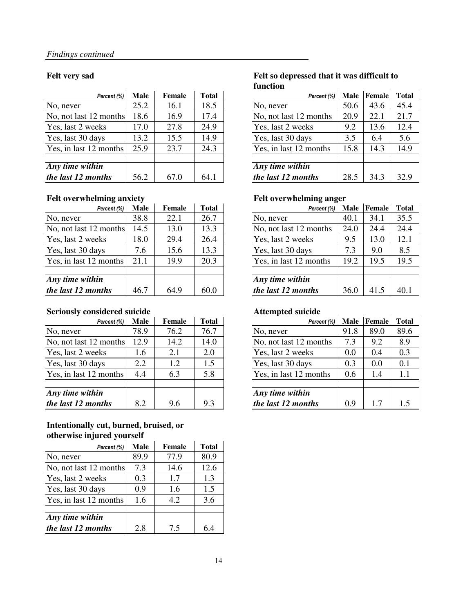| Percent (%)                        | <b>Male</b> | <b>Female</b> | <b>Total</b> | Percent (%)            | <b>Male</b> | Female | Total |
|------------------------------------|-------------|---------------|--------------|------------------------|-------------|--------|-------|
| No, never                          | 25.2        | 16.1          | 18.5         | No, never              | 50.6        | 43.6   | 45.4  |
| No, not last 12 months             | 18.6        | 16.9          | 17.4         | No, not last 12 months | 20.9        | 22.1   | 21.7  |
| Yes, last 2 weeks                  | 17.0        | 27.8          | 24.9         | Yes, last 2 weeks      | 9.2         | 13.6   | 12.4  |
| Yes, last 30 days                  | 13.2        | 15.5          | 14.9         | Yes, last 30 days      | 3.5         | 6.4    | 5.6   |
| Yes, in last 12 months             | 25.9        | 23.7          | 24.3         | Yes, in last 12 months | 15.8        | 14.3   | 14.9  |
|                                    |             |               |              |                        |             |        |       |
| $\overline{Any \, time \, within}$ |             |               |              | Any time within        |             |        |       |
| the last 12 months                 | 56.2        | 67.0          | 64.1         | the last 12 months     | 28.5        | 34.3   | 32.9  |

#### Felt overwhelming anxiety **Felt overwhelming anger**

| Percent (%)            | <b>Male</b> | Female | <b>Total</b> | Percent (%)            | <b>Male</b> | Female | Total |
|------------------------|-------------|--------|--------------|------------------------|-------------|--------|-------|
| No, never              | 38.8        | 22.1   | 26.7         | No, never              | 40.1        | 34.1   | 35.5  |
| No, not last 12 months | 14.5        | 13.0   | 13.3         | No, not last 12 months | 24.0        | 24.4   | 24.4  |
| Yes, last 2 weeks      | 18.0        | 29.4   | 26.4         | Yes, last 2 weeks      | 9.5         | 13.0   | 12.1  |
| Yes, last 30 days      | 7.6         | 15.6   | 13.3         | Yes, last 30 days      | 7.3         | 9.0    | 8.5   |
| Yes, in last 12 months | 21.1        | 19.9   | 20.3         | Yes, in last 12 months | 19.2        | 19.5   | 19.5  |
| Any time within        |             |        |              | Any time within        |             |        |       |
| the last 12 months     | 46.7        | 64.9   | 60.0         | the last 12 months     | 36.0        | 41.5   | 40.1  |

#### **Seriously considered suicide Attempted suicide**

| Percent (%)            | <b>Male</b> | Female | <b>Total</b> | Percent (%)            | <b>Male</b> | Female | Total |
|------------------------|-------------|--------|--------------|------------------------|-------------|--------|-------|
| No, never              | 78.9        | 76.2   | 76.7         | No, never              | 91.8        | 89.0   | 89.6  |
| No, not last 12 months | 12.9        | 14.2   | 14.0         | No, not last 12 months | 7.3         | 9.2    | 8.9   |
| Yes, last 2 weeks      | 1.6         | 2.1    | 2.0          | Yes, last 2 weeks      | 0.0         | 0.4    | 0.3   |
| Yes, last 30 days      | 2.2         | 1.2    | 1.5          | Yes, last 30 days      | 0.3         | 0.0    | 0.1   |
| Yes, in last 12 months | 4.4         | 6.3    | 5.8          | Yes, in last 12 months | 0.6         | 1.4    |       |
| Any time within        |             |        |              | Any time within        |             |        |       |
| the last 12 months     | 8.2         | 9.6    | 9.3          | the last 12 months     | 0.9         | 1.7    | 1.5   |

#### **Intentionally cut, burned, bruised, or otherwise injured yourself**

| Percent (%)            | Male | Female | <b>Total</b> |
|------------------------|------|--------|--------------|
| No, never              | 89.9 | 77.9   | 80.9         |
| No, not last 12 months | 7.3  | 14.6   | 12.6         |
| Yes, last 2 weeks      | 0.3  | 1.7    | 1.3          |
| Yes, last 30 days      | 0.9  | 1.6    | 1.5          |
| Yes, in last 12 months | 1.6  | 4.2    | 3.6          |
|                        |      |        |              |
| Any time within        |      |        |              |
| the last 12 months     | 2.8  | 7.5    | 64           |

#### **Felt very sad Felt so depressed that it was difficult to function**

| Percent (%)             | <b>Male</b> | <b>Female</b> | <b>Total</b> | Percent (%)            | <b>Male</b> | Female | <b>Total</b> |
|-------------------------|-------------|---------------|--------------|------------------------|-------------|--------|--------------|
|                         | 25.2        | 16.1          | 18.5         | No, never              | 50.6        | 43.6   | 45.4         |
| months                  | 18.6        | 16.9          | 17.4         | No, not last 12 months | 20.9        | 22.1   | 21.7         |
| eks                     | 17.0        | 27.8          | 24.9         | Yes, last 2 weeks      | 9.2         | 13.6   | 12.4         |
| ys                      | 13.2        | 15.5          | 14.9         | Yes, last 30 days      | 3.5         | 6.4    | 5.6          |
| months                  | 25.9        | 23.7          | 24.3         | Yes, in last 12 months | 15.8        | 14.3   | 14.9         |
|                         |             |               |              |                        |             |        |              |
| $\overline{\mathbf{m}}$ |             |               |              | Any time within        |             |        |              |
| nths                    | 56.2        | 67.0          | 64.1         | the last 12 months     | 28.5        | 34.3   | 32.9         |

| Percent (%)             | <b>Male</b> | <b>Female</b> | <b>Total</b> | Percent (%)            | <b>Male</b> | Female | <b>Total</b> |
|-------------------------|-------------|---------------|--------------|------------------------|-------------|--------|--------------|
|                         | 38.8        | 22.1          | 26.7         | No, never              | 40.1        | 34.1   | 35.5         |
| months                  | 14.5        | 13.0          | 13.3         | No, not last 12 months | 24.0        | 24.4   | 24.4         |
| eks                     | 18.0        | 29.4          | 26.4         | Yes, last 2 weeks      | 9.5         | 13.0   | 12.1         |
| ys                      | 7.6         | 15.6          | 13.3         | Yes, last 30 days      | 7.3         | 9.0    | 8.5          |
| months                  | 21.1        | 19.9          | 20.3         | Yes, in last 12 months | 19.2        | 19.5   | 19.5         |
|                         |             |               |              |                        |             |        |              |
| $\overline{\mathbf{m}}$ |             |               |              | Any time within        |             |        |              |
| nths                    | 46.7        | 64.9          | 60.0         | the last 12 months     | 36.0        | 41.5   | 40.1         |

| Percent (%) | <b>Male</b> | <b>Female</b> | <b>Total</b> | Percent (%)            | <b>Male</b> | Female | <b>Total</b> |
|-------------|-------------|---------------|--------------|------------------------|-------------|--------|--------------|
|             | 78.9        | 76.2          | 76.7         | No, never              | 91.8        | 89.0   | 89.6         |
| months      | 12.9        | 14.2          | 14.0         | No, not last 12 months | 7.3         | 9.2    | 8.9          |
| eks         | 1.6         | 2.1           | 2.0          | Yes, last 2 weeks      | 0.0         | 0.4    | 0.3          |
| ys          | 2.2         | 1.2           | 1.5          | Yes, last 30 days      | 0.3         | 0.0    | 0.1          |
| months      | 4.4         | 6.3           | 5.8          | Yes, in last 12 months | 0.6         | 1.4    | 1.1          |
|             |             |               |              |                        |             |        |              |
| in          |             |               |              | Any time within        |             |        |              |
| nths        | 8.2         | 9.6           | 9.3          | the last 12 months     | 0.9         | 1.7    |              |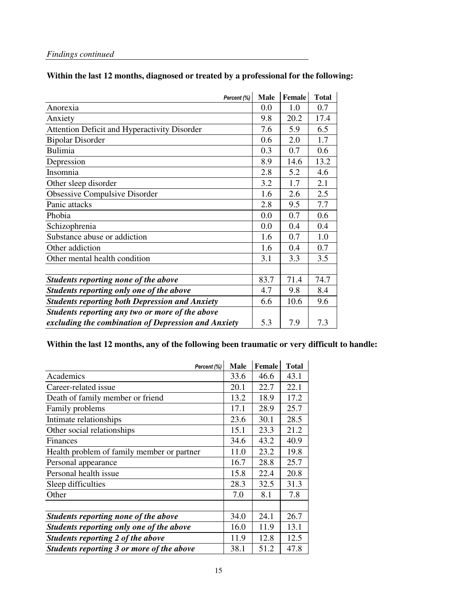### **Within the last 12 months, diagnosed or treated by a professional for the following:**

| Percent (%)                                           | <b>Male</b> | <b>Female</b> | <b>Total</b> |
|-------------------------------------------------------|-------------|---------------|--------------|
| Anorexia                                              | 0.0         | 1.0           | 0.7          |
| Anxiety                                               | 9.8         | 20.2          | 17.4         |
| Attention Deficit and Hyperactivity Disorder          | 7.6         | 5.9           | 6.5          |
| <b>Bipolar Disorder</b>                               | 0.6         | 2.0           | 1.7          |
| <b>Bulimia</b>                                        | 0.3         | 0.7           | 0.6          |
| Depression                                            | 8.9         | 14.6          | 13.2         |
| Insomnia                                              | 2.8         | 5.2           | 4.6          |
| Other sleep disorder                                  | 3.2         | 1.7           | 2.1          |
| Obsessive Compulsive Disorder                         | 1.6         | 2.6           | 2.5          |
| Panic attacks                                         | 2.8         | 9.5           | 7.7          |
| Phobia                                                | 0.0         | 0.7           | 0.6          |
| Schizophrenia                                         | 0.0         | 0.4           | 0.4          |
| Substance abuse or addiction                          | 1.6         | 0.7           | 1.0          |
| Other addiction                                       | 1.6         | 0.4           | 0.7          |
| Other mental health condition                         | 3.1         | 3.3           | 3.5          |
|                                                       |             |               |              |
| Students reporting none of the above                  | 83.7        | 71.4          | 74.7         |
| Students reporting only one of the above              | 4.7         | 9.8           | 8.4          |
| <b>Students reporting both Depression and Anxiety</b> | 6.6         | 10.6          | 9.6          |
| Students reporting any two or more of the above       |             |               |              |
| excluding the combination of Depression and Anxiety   | 5.3         | 7.9           | 7.3          |

#### **Within the last 12 months, any of the following been traumatic or very difficult to handle:**

| Percent (%)                                | <b>Male</b> | <b>Female</b> | <b>Total</b> |
|--------------------------------------------|-------------|---------------|--------------|
| Academics                                  | 33.6        | 46.6          | 43.1         |
| Career-related issue                       | 20.1        | 22.7          | 22.1         |
| Death of family member or friend           | 13.2        | 18.9          | 17.2         |
| Family problems                            | 17.1        | 28.9          | 25.7         |
| Intimate relationships                     | 23.6        | 30.1          | 28.5         |
| Other social relationships                 | 15.1        | 23.3          | 21.2         |
| Finances                                   | 34.6        | 43.2          | 40.9         |
| Health problem of family member or partner | 11.0        | 23.2          | 19.8         |
| Personal appearance                        | 16.7        | 28.8          | 25.7         |
| Personal health issue                      | 15.8        | 22.4          | 20.8         |
| Sleep difficulties                         | 28.3        | 32.5          | 31.3         |
| Other                                      | 7.0         | 8.1           | 7.8          |
|                                            |             |               |              |
| Students reporting none of the above       | 34.0        | 24.1          | 26.7         |
| Students reporting only one of the above   | 16.0        | 11.9          | 13.1         |
| Students reporting 2 of the above          | 11.9        | 12.8          | 12.5         |
| Students reporting 3 or more of the above  | 38.1        | 51.2          | 47.8         |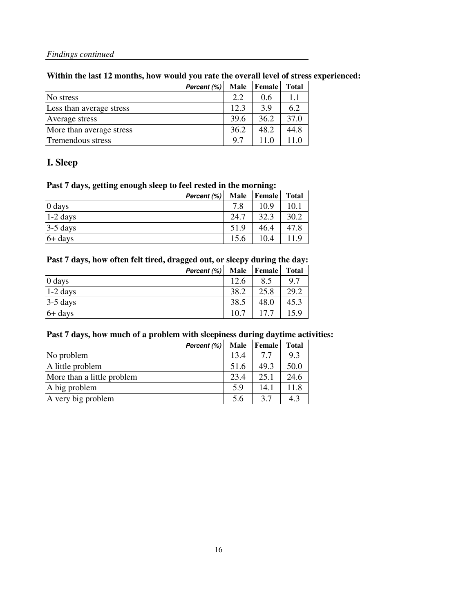#### **Within the last 12 months, how would you rate the overall level of stress experienced:**

|                          | Percent (%) | Male | <b>Female</b> | <b>Total</b> |
|--------------------------|-------------|------|---------------|--------------|
| No stress                |             | 2.2  | 0.6           | 1.1          |
| Less than average stress |             | 12.3 | 3.9           | 6.2          |
| Average stress           |             | 39.6 | 36.2          | 37.0         |
| More than average stress |             | 36.2 | 48.2          | 44.8         |
| Tremendous stress        |             | 97   | 11 O          |              |

#### **I. Sleep**

#### **Past 7 days, getting enough sleep to feel rested in the morning:**

| Percent (%) | <b>Male</b> | <b>Female</b> | <b>Total</b> |
|-------------|-------------|---------------|--------------|
| $0$ days    | 7.8         | 10 9          | 10.1         |
| $1-2$ days  | 24.7        | 32.3          | 30.2         |
| $3-5$ days  | 51.9        | 46.4          | 47.8         |
| $6+$ days   | 15.6        | 10.4          |              |

#### **Past 7 days, how often felt tired, dragged out, or sleepy during the day:**

|            | Percent (%) | Male Female | <b>Total</b> |
|------------|-------------|-------------|--------------|
| 0 days     | 12.6        | 8.5         | 9.7          |
| $1-2$ days | 38.2        | 25.8        | 29.2         |
| $3-5$ days | 38.5        | 48.0        | 45.3         |
| 6+ days    | 10.7        |             | 15.9         |

#### **Past 7 days, how much of a problem with sleepiness during daytime activities:**

|                            | Percent (%) | <b>Male</b> | Female | <b>Total</b> |
|----------------------------|-------------|-------------|--------|--------------|
| No problem                 |             | 13.4        | 77     | 9.3          |
| A little problem           |             | 51.6        | 49.3   | 50.0         |
| More than a little problem |             | 23.4        | 25.1   | 24.6         |
| A big problem              |             | 5.9         | 14.1   | 11.8         |
| A very big problem         |             | 5.6         | 37     | 43           |